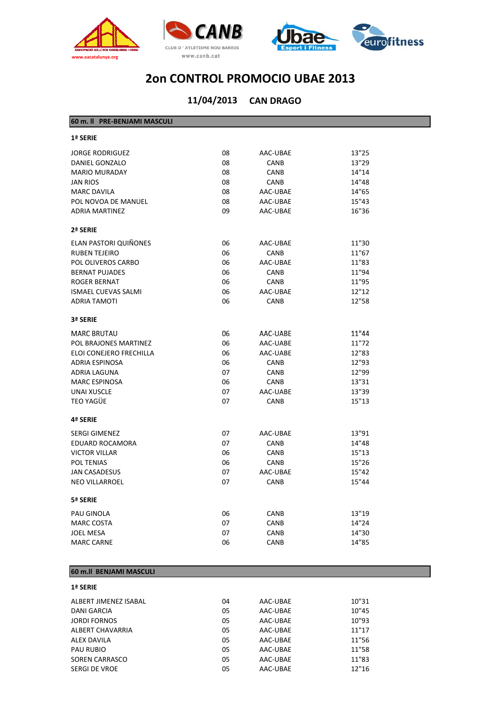





#### **CAN DRAGO 11/04/2013**

| 60 m. II PRE-BENJAMI MASCULI |    |             |       |
|------------------------------|----|-------------|-------|
| 1ª SERIE                     |    |             |       |
| <b>JORGE RODRIGUEZ</b>       | 08 | AAC-UBAE    | 13"25 |
| <b>DANIEL GONZALO</b>        | 08 | <b>CANB</b> | 13"29 |
| <b>MARIO MURADAY</b>         | 08 | <b>CANB</b> | 14"14 |
| <b>JAN RIOS</b>              | 08 | CANB        | 14"48 |
| <b>MARC DAVILA</b>           | 08 | AAC-UBAE    | 14"65 |
| POL NOVOA DE MANUEL          | 08 | AAC-UBAE    | 15"43 |
| <b>ADRIA MARTINEZ</b>        | 09 | AAC-UBAE    | 16"36 |
| 2ª SERIE                     |    |             |       |
| ELAN PASTORI QUIÑONES        | 06 | AAC-UBAE    | 11"30 |
| <b>RUBEN TEJEIRO</b>         | 06 | CANB        | 11"67 |
| POL OLIVEROS CARBO           | 06 | AAC-UBAE    | 11"83 |
| <b>BERNAT PUJADES</b>        | 06 | <b>CANB</b> | 11"94 |
| <b>ROGER BERNAT</b>          | 06 | <b>CANB</b> | 11"95 |
| <b>ISMAEL CUEVAS SALMI</b>   | 06 | AAC-UBAE    | 12"12 |
| <b>ADRIA TAMOTI</b>          | 06 | CANB        | 12"58 |
| 3ª SERIE                     |    |             |       |
| <b>MARC BRUTAU</b>           | 06 | AAC-UABE    | 11"44 |
| POL BRAJONES MARTINEZ        | 06 | AAC-UABE    | 11"72 |
| ELOI CONEJERO FRECHILLA      | 06 | AAC-UABE    | 12"83 |
| <b>ADRIA ESPINOSA</b>        | 06 | <b>CANB</b> | 12"93 |
| ADRIA LAGUNA                 | 07 | CANB        | 12"99 |
| <b>MARC ESPINOSA</b>         | 06 | <b>CANB</b> | 13"31 |
| <b>UNAI XUSCLE</b>           | 07 | AAC-UABE    | 13"39 |
| TEO YAGÜE                    | 07 | CANB        | 15"13 |
| 4ª SERIE                     |    |             |       |
| <b>SERGI GIMENEZ</b>         | 07 | AAC-UBAE    | 13"91 |
| <b>EDUARD ROCAMORA</b>       | 07 | CANB        | 14"48 |
| <b>VICTOR VILLAR</b>         | 06 | CANB        | 15"13 |
| <b>POL TENIAS</b>            | 06 | <b>CANB</b> | 15"26 |
| <b>JAN CASADESUS</b>         | 07 | AAC-UBAE    | 15"42 |
| <b>NEO VILLARROEL</b>        | 07 | CANB        | 15"44 |
| 5ª SERIE                     |    |             |       |
| PAU GINOLA                   | 06 | CANB        | 13"19 |
| <b>MARC COSTA</b>            | 07 | <b>CANB</b> | 14"24 |
| <b>JOEL MESA</b>             | 07 | <b>CANB</b> | 14"30 |
| <b>MARC CARNE</b>            | 06 | <b>CANB</b> | 14"85 |
|                              |    |             |       |

#### **60 m.ll BENJAMI MASCULI**

#### **1ª SERIE**

| ALBERT JIMENEZ ISABAL | 04 | AAC-UBAE | 10"31 |
|-----------------------|----|----------|-------|
| <b>DANI GARCIA</b>    | 05 | AAC-UBAE | 10"45 |
| <b>JORDI FORNOS</b>   | 05 | AAC-UBAE | 10"93 |
| ALBERT CHAVARRIA      | 05 | AAC-UBAE | 11"17 |
| <b>ALEX DAVILA</b>    | 05 | AAC-UBAE | 11"56 |
| <b>PAU RUBIO</b>      | 05 | AAC-UBAE | 11"58 |
| <b>SOREN CARRASCO</b> | 05 | AAC-UBAE | 11"83 |
| <b>SERGI DE VROE</b>  | 05 | AAC-UBAE | 12"16 |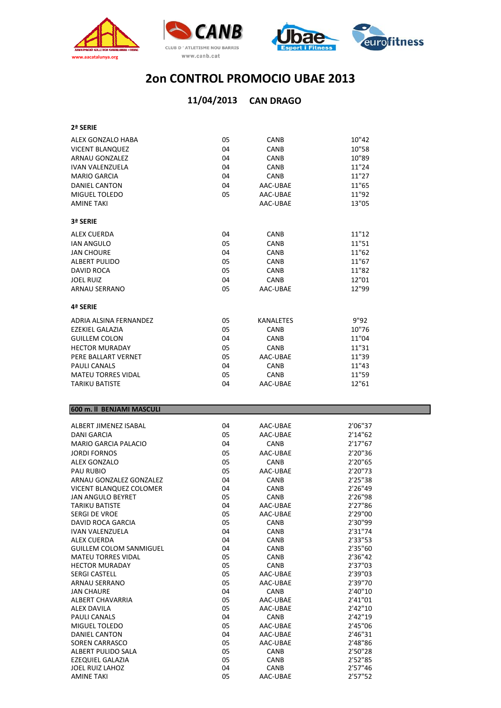





### **CAN DRAGO 11/04/2013**

**2ª SERIE**

| ALEX GONZALO HABA         | 05 | <b>CANB</b>      | 10"42 |
|---------------------------|----|------------------|-------|
| <b>VICENT BLANQUEZ</b>    | 04 | CANB             | 10"58 |
| <b>ARNAU GONZALEZ</b>     | 04 | CANB             | 10"89 |
| <b>IVAN VALENZUELA</b>    | 04 | <b>CANB</b>      | 11"24 |
| <b>MARIO GARCIA</b>       | 04 | CANB             | 11"27 |
| <b>DANIEL CANTON</b>      | 04 | AAC-UBAE         | 11"65 |
| MIGUEL TOLEDO             | 05 | AAC-UBAE         | 11"92 |
| <b>AMINE TAKI</b>         |    | AAC-UBAE         | 13"05 |
| 3ª SERIE                  |    |                  |       |
| <b>ALEX CUERDA</b>        | 04 | CANB             | 11"12 |
| <b>IAN ANGULO</b>         | 05 | CANB             | 11"51 |
| <b>JAN CHOURE</b>         | 04 | <b>CANB</b>      | 11"62 |
| <b>ALBERT PULIDO</b>      | 05 | CANB             | 11"67 |
| <b>DAVID ROCA</b>         | 05 | CANB             | 11"82 |
| <b>JOEL RUIZ</b>          | 04 | CANB             | 12"01 |
| <b>ARNAU SERRANO</b>      | 05 | AAC-UBAE         | 12"99 |
| 4ª SERIE                  |    |                  |       |
| ADRIA ALSINA FERNANDEZ    | 05 | <b>KANALETES</b> | 9"92  |
| <b>EZEKIEL GALAZIA</b>    | 05 | CANB             | 10"76 |
| <b>GUILLEM COLON</b>      | 04 | CANB             | 11"04 |
| <b>HECTOR MURADAY</b>     | 05 | CANB             | 11"31 |
| PERE BALLART VERNET       | 05 | AAC-UBAE         | 11"39 |
| <b>PAULI CANALS</b>       | 04 | CANB             | 11"43 |
| <b>MATEU TORRES VIDAL</b> | 05 | <b>CANB</b>      | 11"59 |
| <b>TARIKU BATISTE</b>     | 04 | AAC-UBAE         | 12"61 |

#### **600 m. ll BENJAMI MASCULI**

| ALBERT JIMENEZ ISABAL          | 04 | AAC-UBAE    | 2'06"37  |
|--------------------------------|----|-------------|----------|
| <b>DANI GARCIA</b>             | 05 | AAC-UBAE    | 2'14''62 |
| <b>MARIO GARCIA PALACIO</b>    | 04 | <b>CANB</b> | 2'17"67  |
| <b>JORDI FORNOS</b>            | 05 | AAC-UBAE    | 2'20"36  |
| ALEX GONZALO                   | 05 | CANB        | 2'20"65  |
| <b>PAU RUBIO</b>               | 05 | AAC-UBAE    | 2'20"73  |
| ARNAU GONZALEZ GONZALEZ        | 04 | CANB        | 2'25"38  |
| <b>VICENT BLANQUEZ COLOMER</b> | 04 | <b>CANB</b> | 2'26"49  |
| JAN ANGULO BEYRET              | 05 | CANB        | 2'26"98  |
| <b>TARIKU BATISTE</b>          | 04 | AAC-UBAE    | 2'27"86  |
| <b>SERGI DE VROE</b>           | 05 | AAC-UBAE    | 2'29"00  |
| DAVID ROCA GARCIA              | 05 | <b>CANB</b> | 2'30"99  |
| <b>IVAN VALENZUELA</b>         | 04 | CANB        | 2'31"74  |
| <b>ALEX CUERDA</b>             | 04 | <b>CANB</b> | 2'33"53  |
| <b>GUILLEM COLOM SANMIGUEL</b> | 04 | <b>CANB</b> | 2'35"60  |
| <b>MATEU TORRES VIDAL</b>      | 05 | CANB        | 2'36"42  |
| <b>HECTOR MURADAY</b>          | 05 | <b>CANB</b> | 2'37"03  |
| <b>SERGI CASTELL</b>           | 05 | AAC-UBAE    | 2'39"03  |
| <b>ARNAU SERRANO</b>           | 05 | AAC-UBAE    | 2'39"70  |
| <b>JAN CHAURE</b>              | 04 | CANB        | 2'40"10  |
| ALBERT CHAVARRIA               | 05 | AAC-UBAE    | 2'41"01  |
| ALEX DAVILA                    | 05 | AAC-UBAE    | 2'42''10 |
| <b>PAULI CANALS</b>            | 04 | CANB        | 2'42"19  |
| MIGUEL TOLEDO                  | 05 | AAC-UBAE    | 2'45"06  |
| <b>DANIEL CANTON</b>           | 04 | AAC-UBAE    | 2'46"31  |
| SOREN CARRASCO                 | 05 | AAC-UBAE    | 2'48"86  |
| ALBERT PULIDO SALA             | 05 | CANB        | 2'50"28  |
| <b>EZEQUIEL GALAZIA</b>        | 05 | CANB        | 2'52"85  |
| <b>JOEL RUIZ LAHOZ</b>         | 04 | <b>CANB</b> | 2'57"46  |
| <b>AMINE TAKI</b>              | 05 | AAC-UBAE    | 2'57''52 |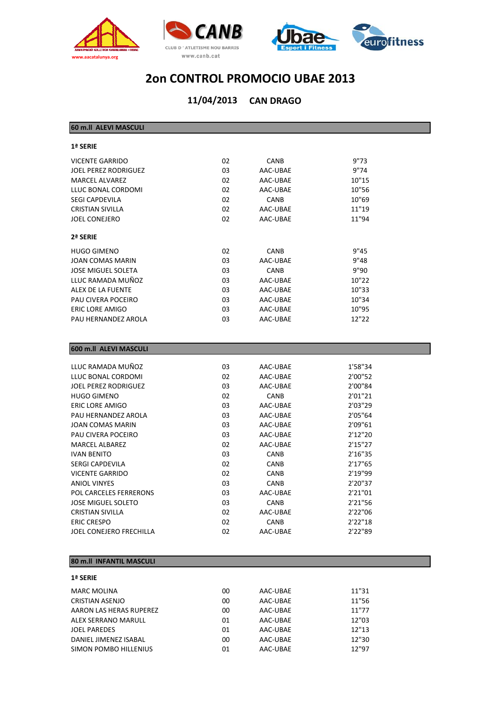





**CAN DRAGO 11/04/2013**

| 60 m.ll ALEVI MASCULI       |    |             |         |  |
|-----------------------------|----|-------------|---------|--|
| 1ª SERIE                    |    |             |         |  |
| <b>VICENTE GARRIDO</b>      | 02 | <b>CANB</b> | 9"73    |  |
| <b>JOEL PEREZ RODRIGUEZ</b> | 03 | AAC-UBAE    | 9"74    |  |
| <b>MARCEL ALVAREZ</b>       | 02 | AAC-UBAE    | 10"15   |  |
| LLUC BONAL CORDOMI          | 02 | AAC-UBAE    | 10"56   |  |
| <b>SEGI CAPDEVILA</b>       | 02 | CANB        | 10"69   |  |
| <b>CRISTIAN SIVILLA</b>     | 02 | AAC-UBAE    | 11"19   |  |
| <b>JOEL CONEJERO</b>        | 02 | AAC-UBAE    | 11"94   |  |
| 2ª SERIE                    |    |             |         |  |
| <b>HUGO GIMENO</b>          | 02 | <b>CANB</b> | 9"45    |  |
| <b>JOAN COMAS MARIN</b>     | 03 | AAC-UBAE    | 9"48    |  |
| <b>JOSE MIGUEL SOLETA</b>   | 03 | <b>CANB</b> | 9"90    |  |
| LLUC RAMADA MUÑOZ           | 03 | AAC-UBAE    | 10"22   |  |
| ALEX DE LA FUENTE           | 03 | AAC-UBAE    | 10"33   |  |
| PAU CIVERA POCEIRO          | 03 | AAC-UBAE    | 10"34   |  |
| <b>ERIC LORE AMIGO</b>      | 03 | AAC-UBAE    | 10"95   |  |
| PAU HERNANDEZ AROLA         | 03 | AAC-UBAE    | 12"22   |  |
|                             |    |             |         |  |
| 600 m.ll ALEVI MASCULI      |    |             |         |  |
| LLUC RAMADA MUÑOZ           | 03 | AAC-UBAE    | 1'58"34 |  |
| LLUC BONAL CORDOMI          | 02 | AAC-UBAE    | 2'00"52 |  |
| <b>JOEL PEREZ RODRIGUEZ</b> | 03 | AAC-UBAE    | 2'00"84 |  |
| <b>HUGO GIMENO</b>          | 02 | <b>CANB</b> | 2'01"21 |  |
| <b>ERIC LORE AMIGO</b>      | 03 | AAC-UBAE    | 2'03"29 |  |
| PAU HERNANDEZ AROLA         | 03 | AAC-UBAE    | 2'05"64 |  |

#### **80 m.ll INFANTIL MASCULI**

| <b>1ª SERIE</b>         |    |          |       |
|-------------------------|----|----------|-------|
| <b>MARC MOLINA</b>      | 00 | AAC-UBAE | 11"31 |
| <b>CRISTIAN ASENJO</b>  | 00 | AAC-UBAE | 11"56 |
| AARON LAS HERAS RUPEREZ | 00 | AAC-UBAE | 11"77 |
| ALEX SERRANO MARULL     | 01 | AAC-UBAE | 12"03 |
| <b>JOEL PAREDES</b>     | 01 | AAC-UBAE | 12"13 |
| DANIEL JIMENEZ ISABAL   | 00 | AAC-UBAE | 12"30 |
| SIMON POMBO HILLENIUS   | 01 | AAC-UBAE | 12"97 |

JOAN COMAS MARIN 03 AAC-UBAE 2'09"61 PAU CIVERA POCEIRO 03 AAC‐UBAE 2'12"20 MARCEL ALBAREZ 02 AAC‐UBAE 2'15"27 IVAN BENITO 03 CANB 2'16"35 SERGI CAPDEVILA 2'17"65 VICENTE GARRIDO 02 CANB 2'19"99 ANIOL VINYES 03 CANB 2'20"37 POL CARCELES FERRERONS 03 AAC‐UBAE 2'21"01 JOSE MIGUEL SOLETO 03 CANB 2'21"56 CRISTIAN SIVILLA 02 AAC‐UBAE 2'22"06 ERIC CRESPO 02 CANB 2'22"18 JOEL CONEJERO FRECHILLA 02 AAC‐UBAE 2'22"89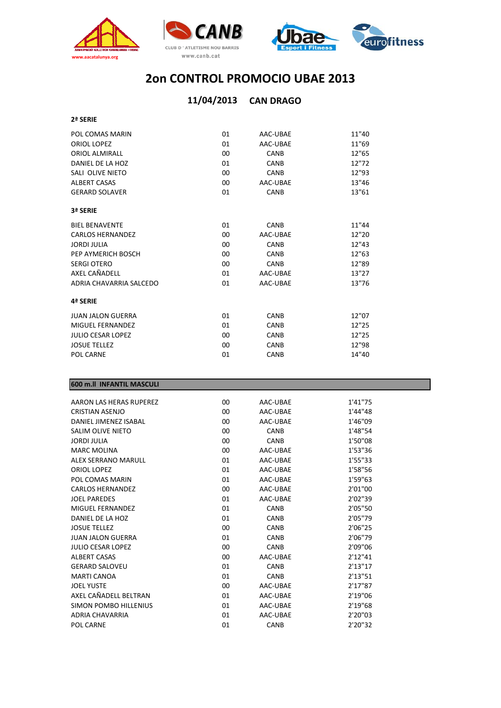





## **CAN DRAGO 11/04/2013**

| POL COMAS MARIN          | 01     | AAC-UBAE    | 11"40 |
|--------------------------|--------|-------------|-------|
| ORIOL LOPEZ              | 01     | AAC-UBAE    | 11"69 |
| <b>ORIOL ALMIRALL</b>    | 00     | <b>CANB</b> | 12"65 |
| DANIEL DE LA HOZ         | 01     | <b>CANB</b> | 12"72 |
| SALI OLIVE NIETO         | 00     | <b>CANB</b> | 12"93 |
| <b>ALBERT CASAS</b>      | 00     | AAC-UBAE    | 13"46 |
| <b>GERARD SOLAVER</b>    | 01     | CANB        | 13"61 |
| 3ª SERIE                 |        |             |       |
| <b>BIEL BENAVENTE</b>    | 01     | <b>CANB</b> | 11"44 |
| <b>CARLOS HERNANDEZ</b>  | $00\,$ | AAC-UBAE    | 12"20 |
| JORDI JULIA              | 00     | CANB        | 12"43 |
| PEP AYMERICH BOSCH       | 00     | <b>CANB</b> | 12"63 |
| <b>SERGI OTERO</b>       | 00     | CANB        | 12"89 |
| AXEL CAÑADELL            | 01     | AAC-UBAE    | 13"27 |
| ADRIA CHAVARRIA SALCEDO  | 01     | AAC-UBAE    | 13"76 |
| 4ª SERIE                 |        |             |       |
| JUAN JALON GUERRA        | 01     | <b>CANB</b> | 12"07 |
| MIGUEL FERNANDEZ         | 01     | CANB        | 12"25 |
| <b>JULIO CESAR LOPEZ</b> | 00     | <b>CANB</b> | 12"25 |
| <b>JOSUE TELLEZ</b>      | 00     | <b>CANB</b> | 12"98 |
| POL CARNE                | 01     | CANB        | 14"40 |

#### **600 m.ll INFANTIL MASCULI**

| AARON LAS HERAS RUPEREZ    | 00 | AAC-UBAE    | 1'41"75  |
|----------------------------|----|-------------|----------|
| CRISTIAN ASENJO            | 00 | AAC-UBAE    | 1'44"48  |
| DANIFI JIMFNF7 ISARAI      | 00 | AAC-UBAE    | 1'46"09  |
| SALIM OLIVE NIETO          | 00 | CANB        | 1'48"54  |
| <b>JORDI JULIA</b>         | 00 | <b>CANB</b> | 1'50"08  |
| <b>MARC MOLINA</b>         | 00 | AAC-UBAE    | 1'53"36  |
| <b>ALEX SERRANO MARULL</b> | 01 | AAC-UBAE    | 1'55"33  |
| ORIOL LOPEZ                | 01 | AAC-UBAE    | 1'58"56  |
| POL COMAS MARIN            | 01 | AAC-UBAE    | 1'59"63  |
| <b>CARLOS HERNANDEZ</b>    | 00 | AAC-UBAE    | 2'01"00  |
| <b>JOEL PAREDES</b>        | 01 | AAC-UBAE    | 2'02"39  |
| MIGUEL FERNANDEZ           | 01 | CANB        | 2'05"50  |
| DANIFL DE LA HOZ           | 01 | <b>CANB</b> | 2'05"79  |
| <b>JOSUE TELLEZ</b>        | 00 | CANB        | 2'06"25  |
| <b>JUAN JALON GUERRA</b>   | 01 | <b>CANB</b> | 2'06"79  |
| <b>JULIO CESAR LOPEZ</b>   | 00 | CANB        | 2'09"06  |
| <b>ALBERT CASAS</b>        | 00 | AAC-UBAE    | 2'12''41 |
| <b>GERARD SALOVEU</b>      | 01 | <b>CANB</b> | 2'13''17 |
| <b>MARTI CANOA</b>         | 01 | CANB        | 2'13"51  |
| <b>JOEL YUSTE</b>          | 00 | AAC-UBAE    | 2'17"87  |
| AXFI CAÑADELL BELTRAN      | 01 | AAC-UBAE    | 2'19"06  |
| SIMON POMBO HILLENIUS      | 01 | AAC-UBAE    | 2'19"68  |
| ADRIA CHAVARRIA            | 01 | AAC-UBAE    | 2'20"03  |
| POL CARNE                  | 01 | CANB        | 2'20"32  |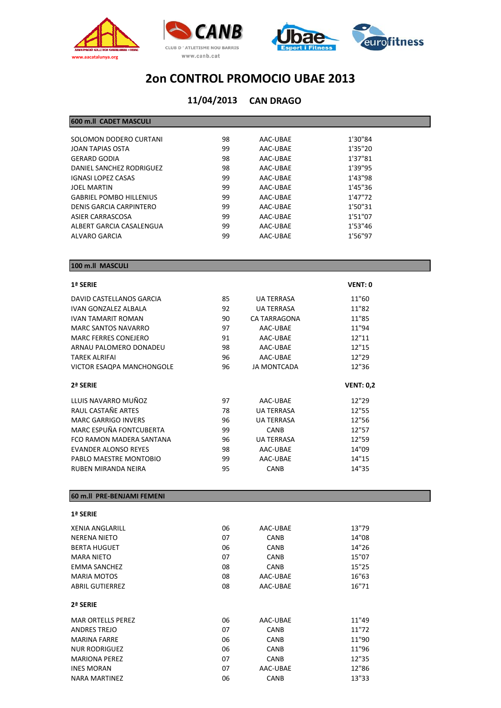





#### **CAN DRAGO 11/04/2013**

#### **600 m.ll CADET MASCULI**

| SOLOMON DODERO CURTANI         | 98 | AAC-UBAE | 1'30"84 |  |
|--------------------------------|----|----------|---------|--|
| JOAN TAPIAS OSTA               | 99 | AAC-UBAE | 1'35"20 |  |
| <b>GERARD GODIA</b>            | 98 | AAC-UBAE | 1'37"81 |  |
| DANIEL SANCHEZ RODRIGUEZ       | 98 | AAC-UBAE | 1'39"95 |  |
| <b>IGNASI LOPEZ CASAS</b>      | 99 | AAC-UBAE | 1'43"98 |  |
| <b>JOEL MARTIN</b>             | 99 | AAC-UBAE | 1'45"36 |  |
| <b>GABRIEL POMBO HILLENIUS</b> | 99 | AAC-UBAE | 1'47"72 |  |
| DENIS GARCIA CARPINTERO        | 99 | AAC-UBAE | 1'50"31 |  |
| ASIER CARRASCOSA               | 99 | AAC-UBAE | 1'51"07 |  |
| ALBERT GARCIA CASALENGUA       | 99 | AAC-UBAE | 1'53"46 |  |
| ALVARO GARCIA                  | 99 | AAC-UBAE | 1'56"97 |  |
|                                |    |          |         |  |

#### **100 m.ll MASCULI**

#### **1ª SERIE VENT: 0**

| DAVID CASTELLANOS GARCIA         | 85 | <b>UA TERRASA</b>  | 11"60            |
|----------------------------------|----|--------------------|------------------|
| IVAN GONZALEZ ALBALA             | 92 | <b>UA TERRASA</b>  | 11"82            |
| <b>IVAN TAMARIT ROMAN</b>        | 90 | CA TARRAGONA       | 11"85            |
| <b>MARC SANTOS NAVARRO</b>       | 97 | AAC-UBAE           | 11"94            |
| <b>MARC FERRES CONEJERO</b>      | 91 | AAC-UBAE           | 12"11            |
| ARNAU PALOMERO DONADEU           | 98 | AAC-UBAE           | 12"15            |
| TAREK ALRIFAI                    | 96 | AAC-UBAE           | 12"29            |
| <b>VICTOR ESAQPA MANCHONGOLE</b> | 96 | <b>JA MONTCADA</b> | 12"36            |
|                                  |    |                    |                  |
| 2ª SERIE                         |    |                    |                  |
|                                  |    |                    | <b>VENT: 0,2</b> |
| LLUIS NAVARRO MUÑOZ              | 97 | AAC-UBAE           | 12"29            |
| RAUL CASTAÑE ARTES               | 78 | <b>UA TERRASA</b>  | 12"55            |
| <b>MARC GARRIGO INVERS</b>       | 96 | <b>UA TERRASA</b>  | 12"56            |
| MARC ESPUÑA FONTCUBERTA          | 99 | <b>CANB</b>        | 12"57            |
| FCO RAMON MADERA SANTANA         | 96 | <b>UA TERRASA</b>  | 12"59            |
| <b>EVANDER ALONSO REYES</b>      | 98 | AAC-UBAE           | 14"09            |
| PABLO MAESTRE MONTOBIO           | 99 | AAC-UBAE           | 14"15            |

#### **60 m.ll PRE‐BENJAMI FEMENI**

| <b>XENIA ANGLARILL</b>   | 06 | AAC-UBAE    | 13"79 |
|--------------------------|----|-------------|-------|
| NERENA NIETO             | 07 | <b>CANB</b> | 14"08 |
| <b>BERTA HUGUET</b>      | 06 | <b>CANB</b> | 14"26 |
| <b>MARA NIETO</b>        | 07 | <b>CANB</b> | 15"07 |
| <b>EMMA SANCHEZ</b>      | 08 | <b>CANB</b> | 15"25 |
| <b>MARIA MOTOS</b>       | 08 | AAC-UBAE    | 16"63 |
| <b>ABRIL GUTIERREZ</b>   | 08 | AAC-UBAE    | 16"71 |
| 2ª SERIE                 |    |             |       |
| <b>MAR ORTELLS PEREZ</b> | 06 | AAC-UBAE    | 11"49 |
| <b>ANDRES TREJO</b>      | 07 | <b>CANB</b> | 11"72 |
| <b>MARINA FARRE</b>      | 06 | <b>CANB</b> | 11"90 |
| <b>NUR RODRIGUEZ</b>     | 06 | <b>CANB</b> | 11"96 |
| <b>MARIONA PEREZ</b>     | 07 | <b>CANB</b> | 12"35 |
| <b>INES MORAN</b>        | 07 | AAC-UBAE    | 12"86 |
| NARA MARTINEZ            | 06 | <b>CANB</b> | 13"33 |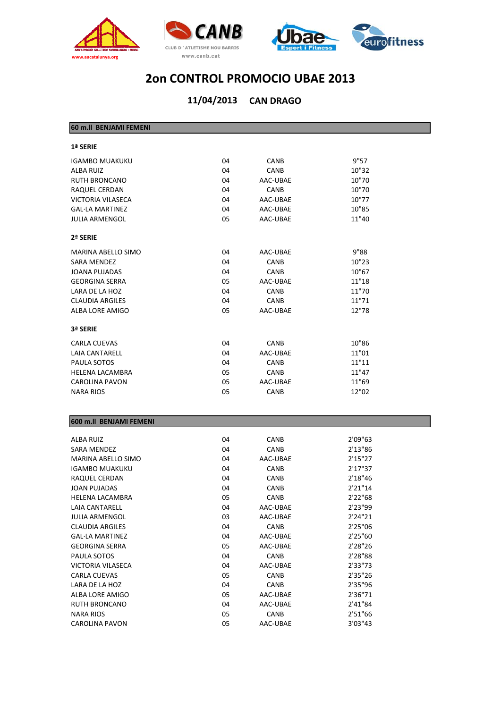





| 60 m.ll BENJAMI FEMENI   |    |             |       |
|--------------------------|----|-------------|-------|
| 1ª SERIE                 |    |             |       |
| <b>IGAMBO MUAKUKU</b>    | 04 | <b>CANB</b> | 9"57  |
| <b>ALBA RUIZ</b>         | 04 | <b>CANB</b> | 10"32 |
| <b>RUTH BRONCANO</b>     | 04 | AAC-UBAE    | 10"70 |
| RAQUEL CERDAN            | 04 | <b>CANB</b> | 10"70 |
| <b>VICTORIA VILASECA</b> | 04 | AAC-UBAE    | 10"77 |
| <b>GAL·LA MARTINEZ</b>   | 04 | AAC-UBAE    | 10"85 |
| <b>JULIA ARMENGOL</b>    | 05 | AAC-UBAE    | 11"40 |
| 2ª SERIE                 |    |             |       |
| MARINA ABELLO SIMO       | 04 | AAC-UBAE    | 9"88  |
| <b>SARA MENDEZ</b>       | 04 | <b>CANB</b> | 10"23 |
| JOANA PUJADAS            | 04 | CANB        | 10"67 |
| <b>GEORGINA SERRA</b>    | 05 | AAC-UBAE    | 11"18 |
| LARA DE LA HOZ           | 04 | CANB        | 11"70 |
| <b>CLAUDIA ARGILES</b>   | 04 | <b>CANB</b> | 11"71 |
| ALBA LORE AMIGO          | 05 | AAC-UBAE    | 12"78 |
| 3ª SERIE                 |    |             |       |
| <b>CARLA CUEVAS</b>      | 04 | <b>CANB</b> | 10"86 |
| <b>LAIA CANTARELL</b>    | 04 | AAC-UBAE    | 11"01 |
| PAULA SOTOS              | 04 | <b>CANB</b> | 11"11 |
| <b>HELENA LACAMBRA</b>   | 05 | <b>CANB</b> | 11"47 |
| <b>CAROLINA PAVON</b>    | 05 | AAC-UBAE    | 11"69 |
| <b>NARA RIOS</b>         | 05 | <b>CANB</b> | 12"02 |
|                          |    |             |       |
| 600 m.II BENJAMI FEMENI  |    |             |       |

| 04 | <b>CANB</b> | 2'09"63 |
|----|-------------|---------|
| 04 | <b>CANB</b> | 2'13"86 |
| 04 | AAC-UBAE    | 2'15"27 |
| 04 | <b>CANB</b> | 2'17"37 |
| 04 | <b>CANB</b> | 2'18"46 |
| 04 | <b>CANB</b> | 2'21"14 |
| 05 | <b>CANB</b> | 2'22"68 |
| 04 | AAC-UBAE    | 2'23"99 |
| 03 | AAC-UBAE    | 2'24"21 |
| 04 | <b>CANB</b> | 2'25"06 |
| 04 | AAC-UBAE    | 2'25"60 |
| 05 | AAC-UBAE    | 2'28"26 |
| 04 | <b>CANB</b> | 2'28"88 |
| 04 | AAC-UBAE    | 2'33"73 |
| 05 | <b>CANB</b> | 2'35"26 |
| 04 | <b>CANB</b> | 2'35"96 |
| 05 | AAC-UBAE    | 2'36"71 |
| 04 | AAC-UBAE    | 2'41"84 |
| 05 | <b>CANB</b> | 2'51"66 |
| 05 | AAC-UBAE    | 3'03"43 |
|    |             |         |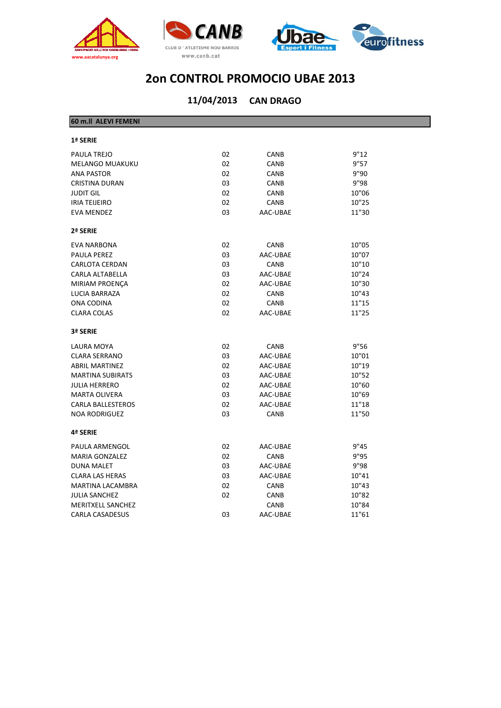





| 60 m.ll ALEVI FEMENI     |    |             |       |
|--------------------------|----|-------------|-------|
| 1ª SERIE                 |    |             |       |
| PAULA TREJO              | 02 | CANB        | 9"12  |
| <b>MELANGO MUAKUKU</b>   | 02 | <b>CANB</b> | 9"57  |
| <b>ANA PASTOR</b>        | 02 | CANB        | 9"90  |
| <b>CRISTINA DURAN</b>    | 03 | <b>CANB</b> | 9"98  |
| <b>JUDIT GIL</b>         | 02 | CANB        | 10"06 |
| <b>IRIA TEIJEIRO</b>     | 02 | CANB        | 10"25 |
| <b>EVA MENDEZ</b>        | 03 | AAC-UBAE    | 11"30 |
| 2ª SERIE                 |    |             |       |
| <b>EVA NARBONA</b>       | 02 | <b>CANB</b> | 10"05 |
| <b>PAULA PEREZ</b>       | 03 | AAC-UBAE    | 10"07 |
| <b>CARLOTA CERDAN</b>    | 03 | <b>CANB</b> | 10"10 |
| CARLA ALTABELLA          | 03 | AAC-UBAE    | 10"24 |
| <b>MIRIAM PROENÇA</b>    | 02 | AAC-UBAE    | 10"30 |
| LUCIA BARRAZA            | 02 | <b>CANB</b> | 10"43 |
| ONA CODINA               | 02 | <b>CANB</b> | 11"15 |
| <b>CLARA COLAS</b>       | 02 | AAC-UBAE    | 11"25 |
| 3ª SERIE                 |    |             |       |
| LAURA MOYA               | 02 | CANB        | 9"56  |
| <b>CLARA SERRANO</b>     | 03 | AAC-UBAE    | 10"01 |
| <b>ABRIL MARTINEZ</b>    | 02 | AAC-UBAE    | 10"19 |
| <b>MARTINA SUBIRATS</b>  | 03 | AAC-UBAE    | 10"52 |
| <b>JULIA HERRERO</b>     | 02 | AAC-UBAE    | 10"60 |
| <b>MARTA OLIVERA</b>     | 03 | AAC-UBAE    | 10"69 |
| <b>CARLA BALLESTEROS</b> | 02 | AAC-UBAE    | 11"18 |
| <b>NOA RODRIGUEZ</b>     | 03 | CANB        | 11"50 |
| 4ª SERIE                 |    |             |       |
| PAULA ARMENGOL           | 02 | AAC-UBAE    | 9"45  |
| <b>MARIA GONZALEZ</b>    | 02 | CANB        | 9"95  |
| <b>DUNA MALET</b>        | 03 | AAC-UBAE    | 9"98  |
| <b>CLARA LAS HERAS</b>   | 03 | AAC-UBAE    | 10"41 |
| <b>MARTINA LACAMBRA</b>  | 02 | CANB        | 10"43 |
| <b>JULIA SANCHEZ</b>     | 02 | CANB        | 10"82 |
| <b>MERITXELL SANCHEZ</b> |    | CANB        | 10"84 |
| <b>CARLA CASADESUS</b>   | 03 | AAC-UBAE    | 11"61 |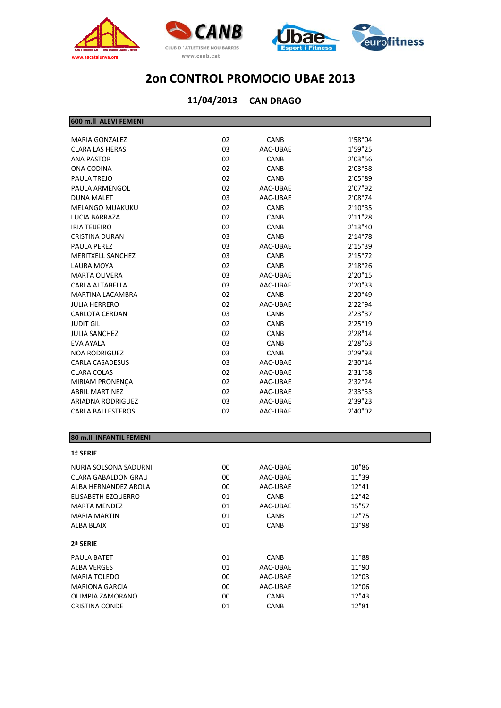





### **CAN DRAGO 11/04/2013**

#### **600 m.ll ALEVI FEMENI**

| <b>MARIA GONZALEZ</b>    | 02 | <b>CANB</b> | 1'58"04  |
|--------------------------|----|-------------|----------|
| <b>CLARA LAS HERAS</b>   | 03 | AAC-UBAE    | 1'59"25  |
| <b>ANA PASTOR</b>        | 02 | <b>CANB</b> | 2'03"56  |
| ONA CODINA               | 02 | CANB        | 2'03"58  |
| PAULA TREJO              | 02 | <b>CANB</b> | 2'05"89  |
| PAULA ARMENGOL           | 02 | AAC-UBAE    | 2'07"92  |
| <b>DUNA MALET</b>        | 03 | AAC-UBAE    | 2'08"74  |
| <b>MELANGO MUAKUKU</b>   | 02 | CANB        | 2'10"35  |
| LUCIA BARRAZA            | 02 | <b>CANB</b> | 2'11"28  |
| <b>IRIA TEIJEIRO</b>     | 02 | CANB        | 2'13''40 |
| <b>CRISTINA DURAN</b>    | 03 | <b>CANB</b> | 2'14"78  |
| <b>PAULA PEREZ</b>       | 03 | AAC-UBAE    | 2'15"39  |
| MERITXELL SANCHEZ        | 03 | CANB        | 2'15''72 |
| LAURA MOYA               | 02 | CANB        | 2'18"26  |
| <b>MARTA OLIVERA</b>     | 03 | AAC-UBAE    | 2'20"15  |
| CARLA ALTABELLA          | 03 | AAC-UBAE    | 2'20"33  |
| <b>MARTINA LACAMBRA</b>  | 02 | CANB        | 2'20"49  |
| <b>JULIA HERRERO</b>     | 02 | AAC-UBAE    | 2'22"94  |
| <b>CARLOTA CERDAN</b>    | 03 | CANB        | 2'23"37  |
| <b>JUDIT GIL</b>         | 02 | <b>CANB</b> | 2'25"19  |
| <b>JULIA SANCHEZ</b>     | 02 | <b>CANB</b> | 2'28"14  |
| EVA AYALA                | 03 | <b>CANB</b> | 2'28"63  |
| <b>NOA RODRIGUEZ</b>     | 03 | <b>CANB</b> | 2'29"93  |
| <b>CARLA CASADESUS</b>   | 03 | AAC-UBAE    | 2'30"14  |
| <b>CLARA COLAS</b>       | 02 | AAC-UBAE    | 2'31"58  |
| <b>MIRIAM PRONENCA</b>   | 02 | AAC-UBAE    | 2'32"24  |
| <b>ABRIL MARTINEZ</b>    | 02 | AAC-UBAE    | 2'33"53  |
| ARIADNA RODRIGUEZ        | 03 | AAC-UBAE    | 2'39"23  |
| <b>CARLA BALLESTEROS</b> | 02 | AAC-UBAE    | 2'40"02  |
|                          |    |             |          |

#### **80 m.ll INFANTIL FEMENI**

| <b>1ª SERIE</b>                                                                                                                                                                                                                                                                                                                                                                                                                                             |
|-------------------------------------------------------------------------------------------------------------------------------------------------------------------------------------------------------------------------------------------------------------------------------------------------------------------------------------------------------------------------------------------------------------------------------------------------------------|
| NURIA SOLSONA SADURNI                                                                                                                                                                                                                                                                                                                                                                                                                                       |
| CLARA GABALDON GRAU                                                                                                                                                                                                                                                                                                                                                                                                                                         |
| $\lambda$ , $\lambda$ , $\lambda$ , $\lambda$ , $\lambda$ , $\lambda$ , $\lambda$ , $\lambda$ , $\lambda$ , $\lambda$ , $\lambda$ , $\lambda$ , $\lambda$ , $\lambda$ , $\lambda$ , $\lambda$ , $\lambda$ , $\lambda$ , $\lambda$ , $\lambda$ , $\lambda$ , $\lambda$ , $\lambda$ , $\lambda$ , $\lambda$ , $\lambda$ , $\lambda$ , $\lambda$ , $\lambda$ , $\lambda$ , $\lambda$ , $\lambda$ , $\lambda$ , $\lambda$ , $\lambda$ , $\lambda$ , $\lambda$ , |

| NURIA SOLSONA SADURNI | 00 | AAC-UBAE    | 10"86 |
|-----------------------|----|-------------|-------|
| CLARA GABALDON GRAU   | 00 | AAC-UBAE    | 11"39 |
| ALBA HERNANDEZ AROLA  | 00 | AAC-UBAE    | 12"41 |
| ELISABETH EZQUERRO    | 01 | <b>CANB</b> | 12"42 |
| <b>MARTA MENDEZ</b>   | 01 | AAC-UBAE    | 15"57 |
| MARIA MARTIN          | 01 | <b>CANB</b> | 12"75 |
| ALBA BLAIX            | 01 | <b>CANB</b> | 13"98 |
| 2ª SERIE              |    |             |       |
| PAULA BATET           | 01 | <b>CANB</b> | 11"88 |
| ALBA VERGES           | 01 | AAC-UBAE    | 11"90 |
| <b>MARIA TOLEDO</b>   | 00 | AAC-UBAE    | 12"03 |
| <b>MARIONA GARCIA</b> | 00 | AAC-UBAE    | 12"06 |
| OLIMPIA ZAMORANO      | 00 | <b>CANB</b> | 12"43 |
| CRISTINA CONDE        | 01 | <b>CANB</b> | 12"81 |
|                       |    |             |       |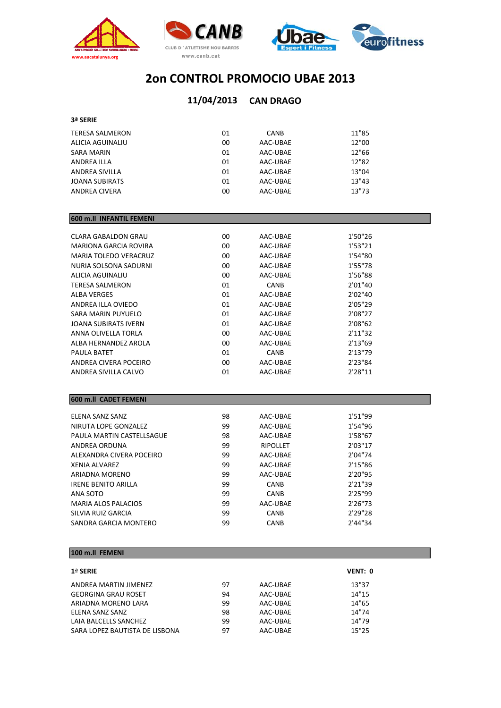





#### **CAN DRAGO 11/04/2013**

#### **3ª SERIE**

| <b>TERESA SALMERON</b> | 01 | CANB     | 11"85 |
|------------------------|----|----------|-------|
| ALICIA AGUINALIU       | 00 | AAC-UBAE | 12"00 |
| SARA MARIN             | 01 | AAC-UBAE | 12"66 |
| <b>ANDREA ILLA</b>     | 01 | AAC-UBAE | 12"82 |
| ANDREA SIVILLA         | 01 | AAC-UBAE | 13"04 |
| <b>JOANA SUBIRATS</b>  | 01 | AAC-UBAE | 13"43 |
| <b>ANDREA CIVERA</b>   | 00 | AAC-UBAE | 13"73 |
|                        |    |          |       |

#### **600 m.ll INFANTIL FEMENI** CLARA GABALDON GRAU 00 AAC‐UBAE 1'50"26 MARIONA GARCIA ROVIRA 00 AAC‐UBAE 1'53"21 MARIA TOLEDO VERACRUZ 00 AAC‐UBAE 1'54"80 NURIA SOLSONA SADURNI 00 AAC‐UBAE 1'55"78 ALICIA AGUINALIU 00 AAC‐UBAE 1'56"88 TERESA SALMERON 01 CANB 2'01"40 ALBA VERGES 01 AAC‐UBAE 2'02"40 ANDREA ILLA OVIEDO 01 AAC‐UBAE 2'05"29 SARA MARIN PUYUELO **01** AAC‐UBAE 2'08"27 JOANA SUBIRATS IVERN 01 AAC‐UBAE 2'08"62 ANNA OLIVELLA TORLA 00 AAC‐UBAE 2'11"32 ALBA HERNANDEZ AROLA 00 AAC‐UBAE 2'13"69 PAULA BATET  $01$  CANB  $2'13''79$ ANDREA CIVERA POCEIRO 00 AAC‐UBAE 2'23"84 ANDREA SIVILLA CALVO 01 AAC‐UBAE 2'28"11

#### **600 m.ll CADET FEMENI**

| FLENA SANZ SANZ            | 98 | AAC-UBAE        | 1'51"99 |
|----------------------------|----|-----------------|---------|
| NIRUTA LOPE GONZALEZ       | 99 | AAC-UBAE        | 1'54"96 |
| PAULA MARTIN CASTELLSAGUE  | 98 | AAC-UBAE        | 1'58"67 |
| ANDREA ORDUNA              | 99 | <b>RIPOLLET</b> | 2'03"17 |
| ALEXANDRA CIVERA POCEIRO   | 99 | AAC-UBAE        | 2'04"74 |
| XFNIA AI VARFZ             | 99 | AAC-UBAE        | 2'15"86 |
| ARIADNA MORENO             | 99 | AAC-UBAE        | 2'20"95 |
| <b>IRENE BENITO ARILLA</b> | 99 | <b>CANB</b>     | 2'21"39 |
| ANA SOTO                   | 99 | <b>CANB</b>     | 2'25"99 |
| <b>MARIA ALOS PALACIOS</b> | 99 | AAC-UBAE        | 2'26"73 |
| SILVIA RUIZ GARCIA         | 99 | <b>CANB</b>     | 2'29"28 |
| SANDRA GARCIA MONTERO      | 99 | <b>CANB</b>     | 2'44"34 |

#### **100 m.ll FEMENI**

| <b>1ª SERIE</b>                |    |          | VENT: 0 |
|--------------------------------|----|----------|---------|
| ANDREA MARTIN JIMENEZ          | 97 | AAC-UBAE | 13"37   |
| <b>GEORGINA GRAU ROSET</b>     | 94 | AAC-UBAE | 14"15   |
| ARIADNA MORENO LARA            | 99 | AAC-UBAE | 14"65   |
| ELENA SANZ SANZ                | 98 | AAC-UBAE | 14"74   |
| LAIA BALCELLS SANCHEZ          | 99 | AAC-UBAE | 14"79   |
| SARA LOPEZ BAUTISTA DE LISBONA | 97 | AAC-UBAE | 15"25   |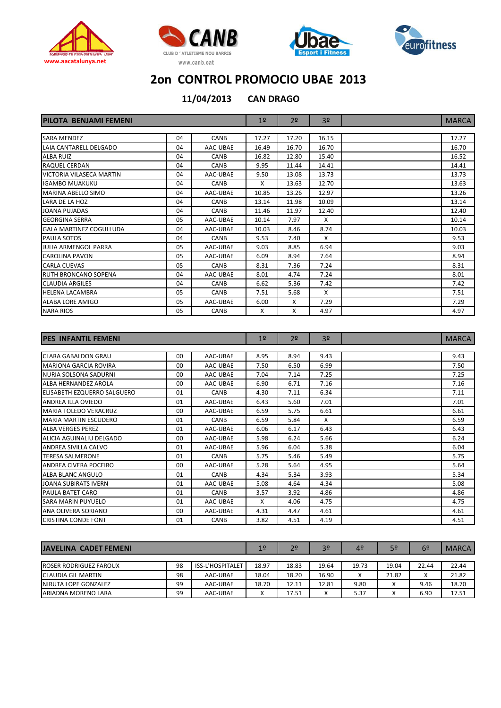







**11/04/2013**

**CAN DRAGO**

| <b>PILOTA BENJAMI FEMENI</b>   |    |             | 1 <sup>°</sup> | 2 <sup>0</sup> | 3 <sup>0</sup> | <b>MARCA</b> |
|--------------------------------|----|-------------|----------------|----------------|----------------|--------------|
|                                |    |             |                |                |                |              |
| <b>SARA MENDEZ</b>             | 04 | CANB        | 17.27          | 17.20          | 16.15          | 17.27        |
| LAIA CANTARELL DELGADO         | 04 | AAC-UBAE    | 16.49          | 16.70          | 16.70          | 16.70        |
| <b>ALBA RUIZ</b>               | 04 | CANB        | 16.82          | 12.80          | 15.40          | 16.52        |
| RAQUEL CERDAN                  | 04 | CANB        | 9.95           | 11.44          | 14.41          | 14.41        |
| VICTORIA VILASECA MARTIN       | 04 | AAC-UBAE    | 9.50           | 13.08          | 13.73          | 13.73        |
| <b>IGAMBO MUAKUKU</b>          | 04 | CANB        | X              | 13.63          | 12.70          | 13.63        |
| MARINA ABELLO SIMO             | 04 | AAC-UBAE    | 10.85          | 13.26          | 12.97          | 13.26        |
| LARA DE LA HOZ                 | 04 | CANB        | 13.14          | 11.98          | 10.09          | 13.14        |
| <b>JOANA PUJADAS</b>           | 04 | <b>CANB</b> | 11.46          | 11.97          | 12.40          | 12.40        |
| <b>GEORGINA SERRA</b>          | 05 | AAC-UBAE    | 10.14          | 7.97           | X              | 10.14        |
| <b>GALA MARTINEZ COGULLUDA</b> | 04 | AAC-UBAE    | 10.03          | 8.46           | 8.74           | 10.03        |
| <b>PAULA SOTOS</b>             | 04 | CANB        | 9.53           | 7.40           | X              | 9.53         |
| <b>JULIA ARMENGOL PARRA</b>    | 05 | AAC-UBAE    | 9.03           | 8.85           | 6.94           | 9.03         |
| CAROLINA PAVON                 | 05 | AAC-UBAE    | 6.09           | 8.94           | 7.64           | 8.94         |
| <b>CARLA CUEVAS</b>            | 05 | <b>CANB</b> | 8.31           | 7.36           | 7.24           | 8.31         |
| <b>RUTH BRONCANO SOPENA</b>    | 04 | AAC-UBAE    | 8.01           | 4.74           | 7.24           | 8.01         |
| <b>CLAUDIA ARGILES</b>         | 04 | <b>CANB</b> | 6.62           | 5.36           | 7.42           | 7.42         |
| <b>HELENA LACAMBRA</b>         | 05 | <b>CANB</b> | 7.51           | 5.68           | X              | 7.51         |
| <b>ALABA LORE AMIGO</b>        | 05 | AAC-UBAE    | 6.00           | X              | 7.29           | 7.29         |
| <b>NARA RIOS</b>               | 05 | CANB        | X              | X              | 4.97           | 4.97         |

| <b>PES INFANTIL FEMENI</b>   |         |             | 1 <sup>°</sup> | 2 <sup>o</sup> | 3 <sup>0</sup> | <b>MARCA</b> |
|------------------------------|---------|-------------|----------------|----------------|----------------|--------------|
|                              |         |             |                |                |                |              |
| <b>CLARA GABALDON GRAU</b>   | 00      | AAC-UBAE    | 8.95           | 8.94           | 9.43           | 9.43         |
| <b>MARIONA GARCIA ROVIRA</b> | 00      | AAC-UBAE    | 7.50           | 6.50           | 6.99           | 7.50         |
| NURIA SOLSONA SADURNI        | $00 \,$ | AAC-UBAE    | 7.04           | 7.14           | 7.25           | 7.25         |
| ALBA HERNANDEZ AROLA         | 00      | AAC-UBAE    | 6.90           | 6.71           | 7.16           | 7.16         |
| ELISABETH EZQUERRO SALGUERO  | 01      | <b>CANB</b> | 4.30           | 7.11           | 6.34           | 7.11         |
| ANDREA ILLA OVIEDO           | 01      | AAC-UBAE    | 6.43           | 5.60           | 7.01           | 7.01         |
| <b>MARIA TOLEDO VERACRUZ</b> | $00 \,$ | AAC-UBAE    | 6.59           | 5.75           | 6.61           | 6.61         |
| <b>MARIA MARTIN ESCUDERO</b> | 01      | <b>CANB</b> | 6.59           | 5.84           | X              | 6.59         |
| <b>ALBA VERGES PEREZ</b>     | 01      | AAC-UBAE    | 6.06           | 6.17           | 6.43           | 6.43         |
| ALICIA AGUINALIU DELGADO     | 00      | AAC-UBAE    | 5.98           | 6.24           | 5.66           | 6.24         |
| ANDREA SIVILLA CALVO         | 01      | AAC-UBAE    | 5.96           | 6.04           | 5.38           | 6.04         |
| <b>TERESA SALMERONE</b>      | 01      | <b>CANB</b> | 5.75           | 5.46           | 5.49           | 5.75         |
| ANDREA CIVERA POCEIRO        | 00      | AAC-UBAE    | 5.28           | 5.64           | 4.95           | 5.64         |
| ALBA BLANC ANGULO            | 01      | CANB        | 4.34           | 5.34           | 3.93           | 5.34         |
| JOANA SUBIRATS IVERN         | 01      | AAC-UBAE    | 5.08           | 4.64           | 4.34           | 5.08         |
| PAULA BATET CARO             | 01      | <b>CANB</b> | 3.57           | 3.92           | 4.86           | 4.86         |
| <b>SARA MARIN PUYUELO</b>    | 01      | AAC-UBAE    | X              | 4.06           | 4.75           | 4.75         |
| ANA OLIVERA SORIANO          | 00      | AAC-UBAE    | 4.31           | 4.47           | 4.61           | 4.61         |
| <b>CRISTINA CONDE FONT</b>   | 01      | <b>CANB</b> | 3.82           | 4.51           | 4.19           | 4.51         |

| <b>JAVELINA CADET FEMENI</b> |    |                         | 19                | 2 <sup>0</sup> | 3 <sup>o</sup> | 4º        | 5 <sup>o</sup>    | 6 <sup>2</sup> | <b>MARCA</b> |
|------------------------------|----|-------------------------|-------------------|----------------|----------------|-----------|-------------------|----------------|--------------|
|                              |    |                         |                   |                |                |           |                   |                |              |
| ROSER RODRIGUEZ FAROUX       | 98 | <b>ISS-L'HOSPITALET</b> | 18.97             | 18.83          | 19.64          | 19.73     | 19.04             | 22.44          | 22.44        |
| ICLAUDIA GIL MARTIN          | 98 | AAC-UBAE                | 18.04             | 18.20          | 16.90          | $\lambda$ | 21.82             | $\sim$         | 21.82        |
| INIRUTA LOPE GONZALEZ        | 99 | AAC-UBAE                | 18.70             | 12.11          | 12.81          | 9.80      | ∧                 | 9.46           | 18.70        |
| ARIADNA MORENO LARA          | 99 | AAC-UBAE                | $\checkmark$<br>Λ | 17.51          | $\lambda$      | 5.37      | $\checkmark$<br>∧ | 6.90           | 17.51        |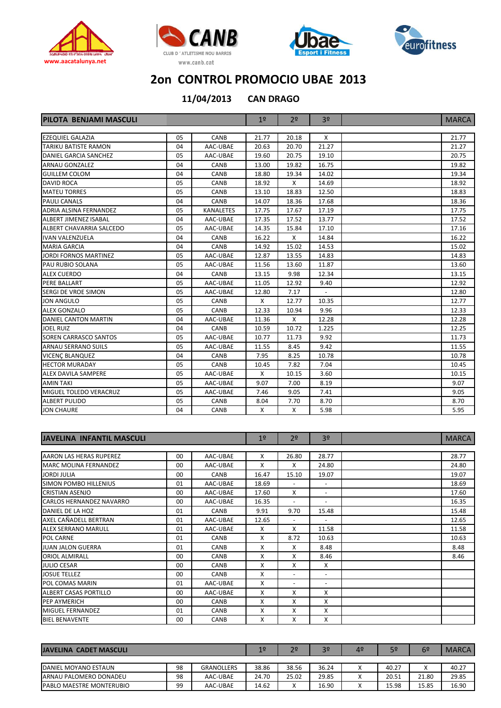







**11/04/2013**

**CAN DRAGO**

| PILOTA BENJAMI MASCULI        |     |                  | 1 <sup>o</sup> | 2 <sup>0</sup> | 3 <sup>o</sup> | <b>MARCA</b> |
|-------------------------------|-----|------------------|----------------|----------------|----------------|--------------|
|                               |     |                  |                |                |                |              |
| <b>EZEQUIEL GALAZIA</b>       | 05  | CANB             | 21.77          | 20.18          | X              | 21.77        |
| <b>TARIKU BATISTE RAMON</b>   | 04  | AAC-UBAE         | 20.63          | 20.70          | 21.27          | 21.27        |
| DANIEL GARCIA SANCHEZ         | 05  | AAC-UBAE         | 19.60          | 20.75          | 19.10          | 20.75        |
| <b>ARNAU GONZALEZ</b>         | 04  | CANB             | 13.00          | 19.82          | 16.75          | 19.82        |
| <b>GUILLEM COLOM</b>          | 04  | CANB             | 18.80          | 19.34          | 14.02          | 19.34        |
| <b>DAVID ROCA</b>             | 05  | CANB             | 18.92          | X              | 14.69          | 18.92        |
| <b>MATEU TORRES</b>           | 05  | CANB             | 13.10          | 18.83          | 12.50          | 18.83        |
| <b>PAULI CANALS</b>           | 04  | CANB             | 14.07          | 18.36          | 17.68          | 18.36        |
| <b>ADRIA ALSINA FERNANDEZ</b> | 0.5 | <b>KANALETES</b> | 17.75          | 17.67          | 17.19          | 17.75        |
| <b>ALBERT JIMENEZ ISABAL</b>  | 04  | AAC-UBAE         | 17.35          | 17.52          | 13.77          | 17.52        |
| ALBERT CHAVARRIA SALCEDO      | 05  | AAC-UBAE         | 14.35          | 15.84          | 17.10          | 17.16        |
| <b>IVAN VALENZUELA</b>        | 04  | CANB             | 16.22          | X              | 14.84          | 16.22        |
| <b>MARIA GARCIA</b>           | 04  | CANB             | 14.92          | 15.02          | 14.53          | 15.02        |
| <b>JORDI FORNOS MARTINEZ</b>  | 05  | AAC-UBAE         | 12.87          | 13.55          | 14.83          | 14.83        |
| PAU RUBIO SOLANA              | 05  | AAC-UBAE         | 11.56          | 13.60          | 11.87          | 13.60        |
| <b>ALEX CUERDO</b>            | 04  | CANB             | 13.15          | 9.98           | 12.34          | 13.15        |
| <b>PERE BALLART</b>           | 05  | AAC-UBAE         | 11.05          | 12.92          | 9.40           | 12.92        |
| SERGI DE VROE SIMON           | 05  | AAC-UBAE         | 12.80          | 7.17           |                | 12.80        |
| <b>JON ANGULO</b>             | 05  | <b>CANB</b>      | X              | 12.77          | 10.35          | 12.77        |
| <b>ALEX GONZALO</b>           | 05  | CANB             | 12.33          | 10.94          | 9.96           | 12.33        |
| <b>DANIEL CANTON MARTIN</b>   | 04  | AAC-UBAE         | 11.36          | X              | 12.28          | 12.28        |
| <b>JOEL RUIZ</b>              | 04  | CANB             | 10.59          | 10.72          | 1.225          | 12.25        |
| <b>SOREN CARRASCO SANTOS</b>  | 05  | AAC-UBAE         | 10.77          | 11.73          | 9.92           | 11.73        |
| <b>ARNAU SERRANO SUILS</b>    | 05  | AAC-UBAE         | 11.55          | 8.45           | 9.42           | 11.55        |
| <b>VICENC BLANQUEZ</b>        | 04  | CANB             | 7.95           | 8.25           | 10.78          | 10.78        |
| <b>HECTOR MURADAY</b>         | 05  | <b>CANB</b>      | 10.45          | 7.82           | 7.04           | 10.45        |
| <b>ALEX DAVILA SAMPERE</b>    | 05  | AAC-UBAE         | X              | 10.15          | 3.60           | 10.15        |
| <b>AMIN TAKI</b>              | 05  | AAC-UBAE         | 9.07           | 7.00           | 8.19           | 9.07         |
| <b>MIGUEL TOLEDO VERACRUZ</b> | 05  | AAC-UBAE         | 7.46           | 9.05           | 7.41           | 9.05         |
| <b>ALBERT PULIDO</b>          | 05  | CANB             | 8.04           | 7.70           | 8.70           | 8.70         |
| <b>JON CHAURE</b>             | 04  | <b>CANB</b>      | X              | X              | 5.98           | 5.95         |

| <b>JAVELINA INFANTIL MASCULI</b> |                |             | 1 <sup>°</sup> | 2 <sup>o</sup>           | 3 <sup>o</sup>           | <b>MARCA</b> |
|----------------------------------|----------------|-------------|----------------|--------------------------|--------------------------|--------------|
| AARON LAS HERAS RUPEREZ          | $00 \,$        | AAC-UBAE    | X              | 26.80                    | 28.77                    | 28.77        |
| <b>MARC MOLINA FERNANDEZ</b>     | 00             | AAC-UBAE    | X              | X                        | 24.80                    | 24.80        |
| <b>JORDI JULIA</b>               | 00             | <b>CANB</b> | 16.47          | 15.10                    | 19.07                    | 19.07        |
| <b>SIMON POMBO HILLENIUS</b>     | 01             | AAC-UBAE    | 18.69          | $\overline{\phantom{a}}$ | $\sim$                   | 18.69        |
| <b>CRISTIAN ASENJO</b>           | 0 <sub>0</sub> | AAC-UBAE    | 17.60          | X                        | $\overline{\phantom{a}}$ | 17.60        |
| <b>CARLOS HERNANDEZ NAVARRO</b>  | 00             | AAC-UBAE    | 16.35          | $\overline{\phantom{a}}$ | $\overline{\phantom{a}}$ | 16.35        |
| DANIEL DE LA HOZ                 | 01             | <b>CANB</b> | 9.91           | 9.70                     | 15.48                    | 15.48        |
| AXEL CAÑADELL BERTRAN            | 01             | AAC-UBAE    | 12.65          | $\overline{\phantom{a}}$ | $\overline{\phantom{a}}$ | 12.65        |
| <b>ALEX SERRANO MARULL</b>       | 01             | AAC-UBAE    | X              | X                        | 11.58                    | 11.58        |
| <b>POL CARNE</b>                 | 01             | <b>CANB</b> | X              | 8.72                     | 10.63                    | 10.63        |
| <b>JUAN JALON GUERRA</b>         | 01             | CANB        | X              | X                        | 8.48                     | 8.48         |
| <b>ORIOL ALMIRALL</b>            | 00             | <b>CANB</b> | X              | X                        | 8.46                     | 8.46         |
| <b>JULIO CESAR</b>               | 0 <sub>0</sub> | <b>CANB</b> | X              | X                        | X                        |              |
| <b>JOSUE TELLEZ</b>              | 00             | <b>CANB</b> | x              | $\overline{\phantom{a}}$ | $\overline{\phantom{a}}$ |              |
| POL COMAS MARIN                  | 01             | AAC-UBAE    | X              | $\overline{\phantom{a}}$ | $\overline{\phantom{a}}$ |              |
| <b>ALBERT CASAS PORTILLO</b>     | 00             | AAC-UBAE    | x              | X                        | x                        |              |
| <b>PEP AYMERICH</b>              | 0 <sub>0</sub> | <b>CANB</b> | X              | X                        | X                        |              |
| MIGUEL FERNANDEZ                 | 01             | CANB        | x              | X                        | x                        |              |
| <b>BIEL BENAVENTE</b>            | 00             | CANB        | X              | X                        | X                        |              |

| JAVELINA CADET MASCULI          |    |                   | 1 <sup>0</sup> | 2º    | 3 <sup>o</sup> | 4º                        | 5º    | 6º                  | <b>MARCA</b> |
|---------------------------------|----|-------------------|----------------|-------|----------------|---------------------------|-------|---------------------|--------------|
|                                 |    |                   |                |       |                |                           |       |                     |              |
| <b>DANIEL MOYANO ESTAUN</b>     | 98 | <b>GRANOLLERS</b> | 38.86          | 38.56 | 36.24          | $\mathbf{v}$<br>$\lambda$ | 40.27 | $\lambda$<br>$\sim$ | 40.27        |
| ARNAU PALOMERO DONADEU          | 98 | AAC-UBAE          | 24.70          | 25.02 | 29.85          | $\checkmark$<br>∧         | 20.51 | 21.80               | 29.85        |
| <b>PABLO MAESTRE MONTERUBIO</b> | 99 | AAC-UBAE          | 14.62          |       | 16.90          | $\lambda$                 | 15.98 | 15.85               | 16.90        |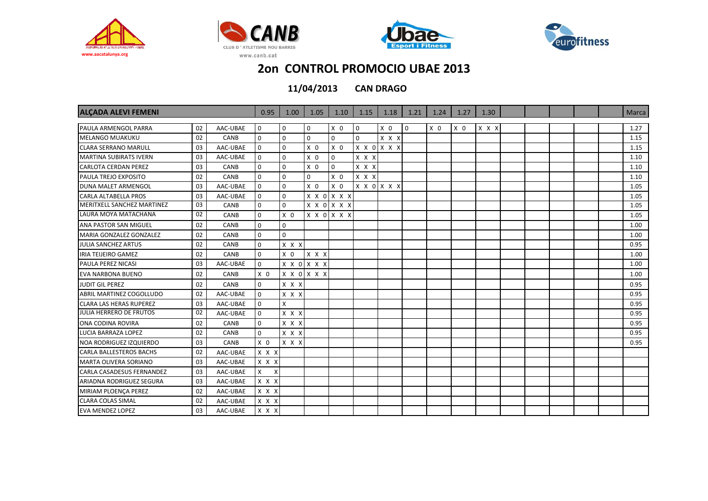







| <b>ALCADA ALEVI FEMENI</b>       |    |          | 0.95           | 1.00           | 1.05           | 1.10           | 1.15         | 1.18           | 1.21     | 1.24           | 1.27           | 1.30  |  |  | <b>Marca</b> |
|----------------------------------|----|----------|----------------|----------------|----------------|----------------|--------------|----------------|----------|----------------|----------------|-------|--|--|--------------|
| PAULA ARMENGOL PARRA             | 02 | AAC-UBAE | 0              | 0              | $\mathbf 0$    | X <sub>0</sub> | $\mathbf{0}$ | X <sub>0</sub> | $\Omega$ | X <sub>0</sub> | X <sub>0</sub> | X X X |  |  | 1.27         |
| <b>MELANGO MUAKUKU</b>           | 02 | CANB     | $\mathbf{0}$   | $\mathbf 0$    | $\mathbf 0$    | $\mathbf 0$    | $\mathbf 0$  | x x x          |          |                |                |       |  |  | 1.15         |
| <b>CLARA SERRANO MARULL</b>      | 03 | AAC-UBAE | $\mathbf 0$    | 0              | X <sub>0</sub> | X <sub>0</sub> |              | X X O X X X    |          |                |                |       |  |  | 1.15         |
| <b>MARTINA SUBIRATS IVERN</b>    | 03 | AAC-UBAE | $\mathbf 0$    | 0              | X <sub>0</sub> | $\mathbf 0$    | X X X        |                |          |                |                |       |  |  | 1.10         |
| <b>CARLOTA CERDAN PEREZ</b>      | 03 | CANB     | $\Omega$       | $\Omega$       | X <sub>0</sub> | $\mathbf 0$    | $X$ $X$ $X$  |                |          |                |                |       |  |  | 1.10         |
| <b>PAULA TREJO EXPOSITO</b>      | 02 | CANB     | $\Omega$       | $\Omega$       | $\Omega$       | X <sub>0</sub> | X X X        |                |          |                |                |       |  |  | 1.10         |
| <b>DUNA MALET ARMENGOL</b>       | 03 | AAC-UBAE | $\mathbf 0$    | $\Omega$       | X <sub>0</sub> | X <sub>0</sub> |              | X X O X X X    |          |                |                |       |  |  | 1.05         |
| <b>CARLA ALTABELLA PROS</b>      | 03 | AAC-UBAE | $\mathbf 0$    | 0              | $x \times o$   | X X X          |              |                |          |                |                |       |  |  | 1.05         |
| MERITXELL SANCHEZ MARTINEZ       | 03 | CANB     | $\mathbf 0$    | $\Omega$       |                | X X O X X X    |              |                |          |                |                |       |  |  | 1.05         |
| LAURA MOYA MATACHANA             | 02 | CANB     | $\mathbf 0$    | X <sub>0</sub> |                | X X O X X X    |              |                |          |                |                |       |  |  | 1.05         |
| <b>ANA PASTOR SAN MIGUEL</b>     | 02 | CANB     | $\mathbf 0$    | 0              |                |                |              |                |          |                |                |       |  |  | 1.00         |
| MARIA GONZALEZ GONZALEZ          | 02 | CANB     | $\mathbf 0$    | $\Omega$       |                |                |              |                |          |                |                |       |  |  | 1.00         |
| <b>JULIA SANCHEZ ARTUS</b>       | 02 | CANB     | $\mathbf 0$    | $X$ $X$ $X$    |                |                |              |                |          |                |                |       |  |  | 0.95         |
| <b>IRIA TEIJEIRO GAMEZ</b>       | 02 | CANB     | $\mathbf 0$    | X <sub>0</sub> | $X$ $X$ $X$    |                |              |                |          |                |                |       |  |  | 1.00         |
| <b>PAULA PEREZ NICASI</b>        | 03 | AAC-UBAE | $\mathbf 0$    |                | X X O X X X    |                |              |                |          |                |                |       |  |  | 1.00         |
| <b>EVA NARBONA BUENO</b>         | 02 | CANB     | X <sub>0</sub> |                | X X O X X X    |                |              |                |          |                |                |       |  |  | 1.00         |
| <b>JUDIT GIL PEREZ</b>           | 02 | CANB     | $\mathbf 0$    | X X X          |                |                |              |                |          |                |                |       |  |  | 0.95         |
| ABRIL MARTINEZ COGOLLUDO         | 02 | AAC-UBAE | $\mathbf 0$    | X X X          |                |                |              |                |          |                |                |       |  |  | 0.95         |
| <b>CLARA LAS HERAS RUPEREZ</b>   | 03 | AAC-UBAE | $\mathbf 0$    | X              |                |                |              |                |          |                |                |       |  |  | 0.95         |
| <b>JULIA HERRERO DE FRUTOS</b>   | 02 | AAC-UBAE | $\Omega$       | $X$ $X$ $X$    |                |                |              |                |          |                |                |       |  |  | 0.95         |
| ONA CODINA ROVIRA                | 02 | CANB     | $\mathbf 0$    | X X X          |                |                |              |                |          |                |                |       |  |  | 0.95         |
| <b>LUCIA BARRAZA LOPEZ</b>       | 02 | CANB     | $\mathbf 0$    | X X X          |                |                |              |                |          |                |                |       |  |  | 0.95         |
| <b>NOA RODRIGUEZ IZQUIERDO</b>   | 03 | CANB     | X <sub>0</sub> | $X$ $X$ $X$    |                |                |              |                |          |                |                |       |  |  | 0.95         |
| <b>CARLA BALLESTEROS BACHS</b>   | 02 | AAC-UBAE | X X X          |                |                |                |              |                |          |                |                |       |  |  |              |
| MARTA OLIVERA SORIANO            | 03 | AAC-UBAE | X X X          |                |                |                |              |                |          |                |                |       |  |  |              |
| <b>CARLA CASADESUS FERNANDEZ</b> | 03 | AAC-UBAE | X<br>X         |                |                |                |              |                |          |                |                |       |  |  |              |
| <b>ARIADNA RODRIGUEZ SEGURA</b>  | 03 | AAC-UBAE | X X X          |                |                |                |              |                |          |                |                |       |  |  |              |
| MIRIAM PLOENCA PEREZ             | 02 | AAC-UBAE | X X X          |                |                |                |              |                |          |                |                |       |  |  |              |
| <b>CLARA COLAS SIMAL</b>         | 02 | AAC-UBAE | X X X          |                |                |                |              |                |          |                |                |       |  |  |              |
| <b>EVA MENDEZ LOPEZ</b>          | 03 | AAC-UBAE | X X X          |                |                |                |              |                |          |                |                |       |  |  |              |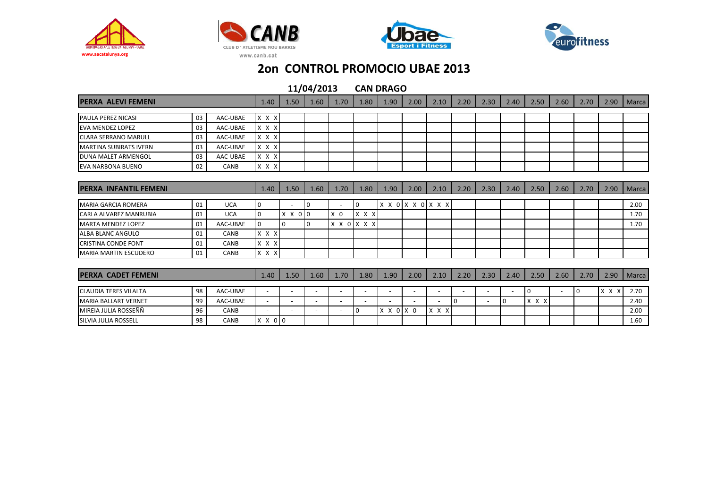







| <b>PERXA ALEVI FEMENI</b>     |    |            | 1.40                     | 1.50                     | 1.60                     | 1.70                     | 1.80        | 1.90                     | 2.00                     | 2.10                     | 2.20     | 2.30                     | 2.40 | 2.50           | 2.60                     | 2.70        | 2.90  | Marca |
|-------------------------------|----|------------|--------------------------|--------------------------|--------------------------|--------------------------|-------------|--------------------------|--------------------------|--------------------------|----------|--------------------------|------|----------------|--------------------------|-------------|-------|-------|
| <b>PAULA PEREZ NICASI</b>     | 03 | AAC-UBAE   | X X X                    |                          |                          |                          |             |                          |                          |                          |          |                          |      |                |                          |             |       |       |
| <b>EVA MENDEZ LOPEZ</b>       | 03 | AAC-UBAE   | X X X                    |                          |                          |                          |             |                          |                          |                          |          |                          |      |                |                          |             |       |       |
|                               |    |            |                          |                          |                          |                          |             |                          |                          |                          |          |                          |      |                |                          |             |       |       |
| <b>CLARA SERRANO MARULL</b>   | 03 | AAC-UBAE   | X X X                    |                          |                          |                          |             |                          |                          |                          |          |                          |      |                |                          |             |       |       |
| <b>MARTINA SUBIRATS IVERN</b> | 03 | AAC-UBAE   | X X X                    |                          |                          |                          |             |                          |                          |                          |          |                          |      |                |                          |             |       |       |
| <b>DUNA MALET ARMENGOL</b>    | 03 | AAC-UBAE   | X X X                    |                          |                          |                          |             |                          |                          |                          |          |                          |      |                |                          |             |       |       |
| <b>EVA NARBONA BUENO</b>      | 02 | CANB       | X X X                    |                          |                          |                          |             |                          |                          |                          |          |                          |      |                |                          |             |       |       |
|                               |    |            |                          |                          |                          |                          |             |                          |                          |                          |          |                          |      |                |                          |             |       |       |
| <b>PERXA INFANTIL FEMENI</b>  |    | 1.40       | 1.50                     | 1.60                     | 1.70                     | 1.80                     | 1.90        | 2.00                     | 2.10                     | 2.20                     | 2.30     | 2.40                     | 2.50 | 2.60           | 2.70                     | 2.90        | Marca |       |
| <b>MARIA GARCIA ROMERA</b>    | 01 | <b>UCA</b> | 0                        |                          | 10                       |                          | 0           |                          |                          | x x o x x o x x x        |          |                          |      |                |                          |             |       | 2.00  |
| <b>CARLA ALVAREZ MANRUBIA</b> | 01 | <b>UCA</b> | $\mathbf 0$              | X X 0 0                  |                          | $X$ 0                    | x x x       |                          |                          |                          |          |                          |      |                |                          |             |       | 1.70  |
| <b>MARTA MENDEZ LOPEZ</b>     | 01 | AAC-UBAE   | 0                        | $\Omega$                 | $\overline{0}$           |                          | X X O X X X |                          |                          |                          |          |                          |      |                |                          |             |       | 1.70  |
| ALBA BLANC ANGULO             | 01 | CANB       | X X X                    |                          |                          |                          |             |                          |                          |                          |          |                          |      |                |                          |             |       |       |
| <b>CRISTINA CONDE FONT</b>    | 01 | CANB       | X X X                    |                          |                          |                          |             |                          |                          |                          |          |                          |      |                |                          |             |       |       |
| <b>MARIA MARTIN ESCUDERO</b>  | 01 | CANB       | X X X                    |                          |                          |                          |             |                          |                          |                          |          |                          |      |                |                          |             |       |       |
|                               |    |            |                          |                          |                          |                          |             |                          |                          |                          |          |                          |      |                |                          |             |       |       |
| PERXA CADET FEMENI            |    |            | 1.40                     | 1.50                     | 1.60                     | 1.70                     | 1.80        | 1.90                     | 2.00                     | 2.10                     | 2.20     | 2.30                     | 2.40 | 2.50           | 2.60                     | 2.70        | 2.90  | Marca |
| <b>CLAUDIA TERES VILALTA</b>  | 98 | AAC-UBAE   | $\overline{a}$           | $\overline{\phantom{a}}$ | $\overline{\phantom{a}}$ | $\overline{\phantom{a}}$ |             | $\overline{\phantom{a}}$ | $\overline{\phantom{a}}$ | $\overline{\phantom{a}}$ |          | $\overline{\phantom{a}}$ |      | $\overline{0}$ | $\overline{\phantom{a}}$ | $\mathbf 0$ | X X X | 2.70  |
| <b>MARIA BALLART VERNET</b>   | 99 | AAC-UBAE   | $\sim$                   | $\overline{\phantom{a}}$ | $\overline{\phantom{a}}$ | $\overline{\phantom{a}}$ |             |                          | $\overline{\phantom{a}}$ | $\overline{\phantom{a}}$ | $\Omega$ | $\overline{\phantom{a}}$ | 0    | X X X          |                          |             |       | 2.40  |
| MIREIA JULIA ROSSEÑÑ          | 96 | CANB       | $\overline{\phantom{a}}$ | $\sim$                   | $\overline{\phantom{a}}$ | $\overline{\phantom{a}}$ |             | X X O X O                |                          | X X X                    |          |                          |      |                |                          |             |       | 2.00  |
| SILVIA JULIA ROSSELL          | 98 | CANB       | X X 0 0                  |                          |                          |                          |             |                          |                          |                          |          |                          |      |                |                          |             |       | 1.60  |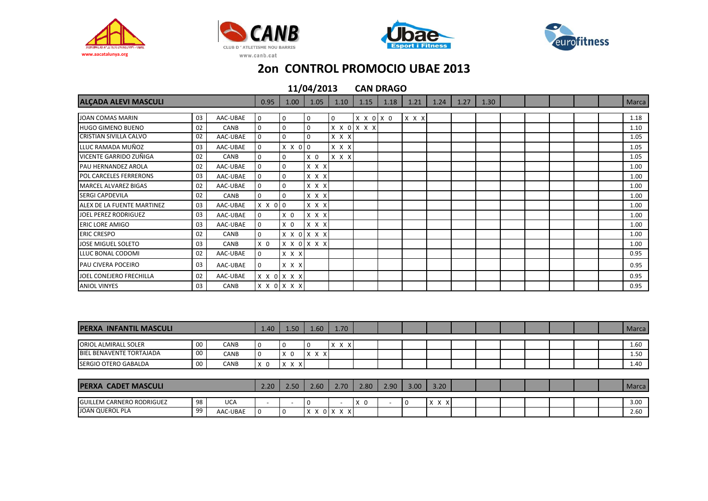







| <b>ALCADA ALEVI MASCULI</b>   |    |          |                | 1.00           | 1.05           | 1.10  | 1.15        | 1.18 | 1.21        | 1.24 | 1.27 | 1.30 |  |  | <b>Marca</b> |
|-------------------------------|----|----------|----------------|----------------|----------------|-------|-------------|------|-------------|------|------|------|--|--|--------------|
| JOAN COMAS MARIN              | 03 | AAC-UBAE | 0              | $\mathbf 0$    | 0              | 0     | X X O X O   |      | $X$ $X$ $X$ |      |      |      |  |  | 1.18         |
| <b>HUGO GIMENO BUENO</b>      | 02 | CANB     | 0              | 0              | $\mathbf 0$    |       | X X O X X X |      |             |      |      |      |  |  | 1.10         |
| <b>CRISTIAN SIVILLA CALVO</b> | 02 | AAC-UBAE | $\mathbf 0$    | $\Omega$       | $\Omega$       | x x x |             |      |             |      |      |      |  |  | 1.05         |
| LLUC RAMADA MUÑOZ             | 03 | AAC-UBAE | $\mathbf 0$    | X X 0 0        |                | X X X |             |      |             |      |      |      |  |  | 1.05         |
| VICENTE GARRIDO ZUÑIGA        | 02 | CANB     | $\mathbf 0$    | $\mathbf 0$    | X <sub>0</sub> | x x x |             |      |             |      |      |      |  |  | 1.05         |
| PAU HERNANDEZ AROLA           | 02 | AAC-UBAE | 0              | $\Omega$       | X X X          |       |             |      |             |      |      |      |  |  | 1.00         |
| <b>POL CARCELES FERRERONS</b> | 03 | AAC-UBAE | 0              | $\Omega$       | X X X          |       |             |      |             |      |      |      |  |  | 1.00         |
| <b>MARCEL ALVAREZ BIGAS</b>   | 02 | AAC-UBAE | 0              | $\Omega$       | X X X          |       |             |      |             |      |      |      |  |  | 1.00         |
| <b>SERGI CAPDEVILA</b>        | 02 | CANB     | 0              | 0              | x x x          |       |             |      |             |      |      |      |  |  | 1.00         |
| ALEX DE LA FUENTE MARTINEZ    | 03 | AAC-UBAE | X X 0 0        |                | X X X          |       |             |      |             |      |      |      |  |  | 1.00         |
| JOEL PEREZ RODRIGUEZ          | 03 | AAC-UBAE | 0              | X <sub>0</sub> | $x \times x$   |       |             |      |             |      |      |      |  |  | 1.00         |
| <b>ERIC LORE AMIGO</b>        | 03 | AAC-UBAE | 0              | X <sub>0</sub> | X X X          |       |             |      |             |      |      |      |  |  | 1.00         |
| <b>ERIC CRESPO</b>            | 02 | CANB     | $\mathbf 0$    |                | X X O X X X    |       |             |      |             |      |      |      |  |  | 1.00         |
| JOSE MIGUEL SOLETO            | 03 | CANB     | X <sub>0</sub> |                | X X O X X X    |       |             |      |             |      |      |      |  |  | 1.00         |
| LLUC BONAL CODOMI             | 02 | AAC-UBAE | 0              | $X$ $X$ $X$    |                |       |             |      |             |      |      |      |  |  | 0.95         |
| PAU CIVERA POCEIRO            | 03 | AAC-UBAE | 0              | X X X          |                |       |             |      |             |      |      |      |  |  | 0.95         |
| JOEL CONEJERO FRECHILLA       | 02 | AAC-UBAE |                | X X O X X X    |                |       |             |      |             |      |      |      |  |  | 0.95         |
| <b>ANIOL VINYES</b>           | 03 | CANB     |                | X X O X X X    |                |       |             |      |             |      |      |      |  |  | 0.95         |

| <b>PERXA INFANTIL MASCULI</b>                              |    |                        |                          | 1.50 <sub>2</sub>        | $1.60$ $V$ | 1.70                                |      |      |      |                               |  |  |  | Marca        |
|------------------------------------------------------------|----|------------------------|--------------------------|--------------------------|------------|-------------------------------------|------|------|------|-------------------------------|--|--|--|--------------|
| <b>ORIOL ALMIRALL SOLER</b>                                | 00 | CANB                   |                          | 0                        |            | $X$ $X$ $X$                         |      |      |      |                               |  |  |  | 1.60         |
| BIEL BENAVENTE TORTAJADA                                   | 00 | CANB                   |                          | X<br>- 0                 | X          |                                     |      |      |      |                               |  |  |  | 1.50         |
| <b>SERGIO OTERO GABALDA</b>                                | 00 | CANB                   | X O                      | X X X                    |            |                                     |      |      |      |                               |  |  |  | 1.40         |
|                                                            |    |                        |                          |                          |            |                                     |      |      |      |                               |  |  |  |              |
| <b>PERXA CADET MASCULI</b>                                 |    |                        | 2.20                     | 2.50                     | 2.60       | 2.70                                | 2.80 | 2.90 | 3.00 | 3.20                          |  |  |  | Marca        |
|                                                            | 98 |                        |                          |                          |            |                                     | v    |      |      |                               |  |  |  |              |
| <b>GUILLEM CARNERO RODRIGUEZ</b><br><b>JOAN QUEROL PLA</b> | 99 | <b>UCA</b><br>AAC-UBAE | $\overline{\phantom{0}}$ | $\overline{\phantom{0}}$ | X          | $\overline{\phantom{0}}$<br>0 X X X | x v  |      | 0    | $\mathsf{X}$<br>$\times$<br>X |  |  |  | 3.00<br>2.60 |